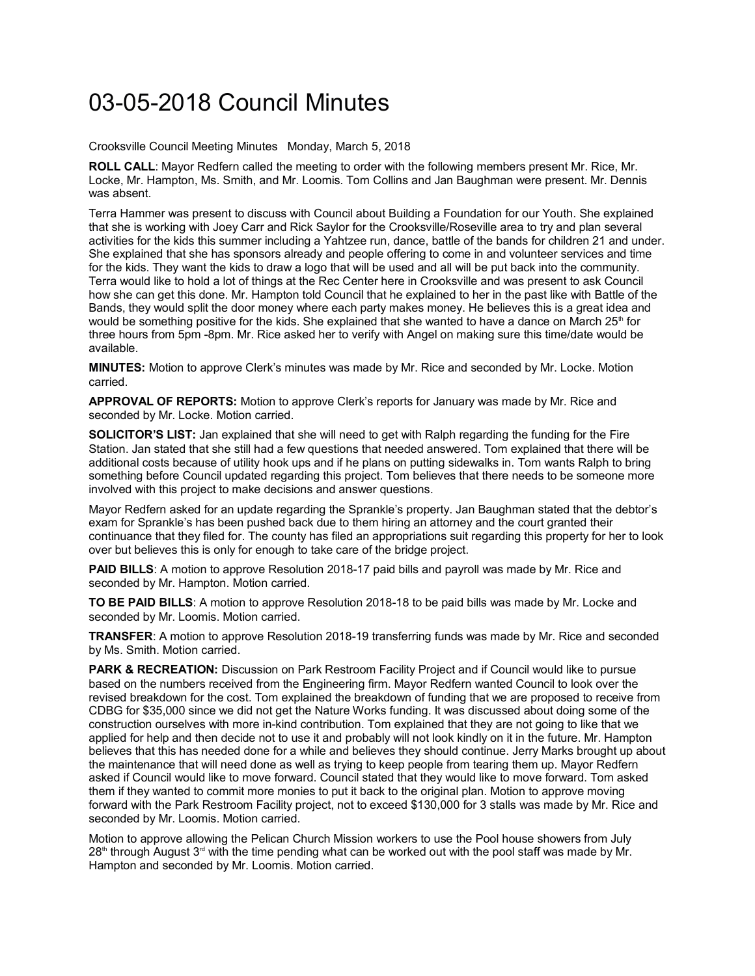## 03-05-2018 Council Minutes

Crooksville Council Meeting Minutes Monday, March 5, 2018

**ROLL CALL**: Mayor Redfern called the meeting to order with the following members present Mr. Rice, Mr. Locke, Mr. Hampton, Ms. Smith, and Mr. Loomis. Tom Collins and Jan Baughman were present. Mr. Dennis was absent.

Terra Hammer was present to discuss with Council about Building a Foundation for our Youth. She explained that she is working with Joey Carr and Rick Saylor for the Crooksville/Roseville area to try and plan several activities for the kids this summer including a Yahtzee run, dance, battle of the bands for children 21 and under. She explained that she has sponsors already and people offering to come in and volunteer services and time for the kids. They want the kids to draw a logo that will be used and all will be put back into the community. Terra would like to hold a lot of things at the Rec Center here in Crooksville and was present to ask Council how she can get this done. Mr. Hampton told Council that he explained to her in the past like with Battle of the Bands, they would split the door money where each party makes money. He believes this is a great idea and would be something positive for the kids. She explained that she wanted to have a dance on March  $25<sup>th</sup>$  for three hours from 5pm -8pm. Mr. Rice asked her to verify with Angel on making sure this time/date would be available.

**MINUTES:** Motion to approve Clerk's minutes was made by Mr. Rice and seconded by Mr. Locke. Motion carried.

**APPROVAL OF REPORTS:** Motion to approve Clerk's reports for January was made by Mr. Rice and seconded by Mr. Locke. Motion carried.

**SOLICITOR'S LIST:** Jan explained that she will need to get with Ralph regarding the funding for the Fire Station. Jan stated that she still had a few questions that needed answered. Tom explained that there will be additional costs because of utility hook ups and if he plans on putting sidewalks in. Tom wants Ralph to bring something before Council updated regarding this project. Tom believes that there needs to be someone more involved with this project to make decisions and answer questions.

Mayor Redfern asked for an update regarding the Sprankle's property. Jan Baughman stated that the debtor's exam for Sprankle's has been pushed back due to them hiring an attorney and the court granted their continuance that they filed for. The county has filed an appropriations suit regarding this property for her to look over but believes this is only for enough to take care of the bridge project.

**PAID BILLS**: A motion to approve Resolution 2018-17 paid bills and payroll was made by Mr. Rice and seconded by Mr. Hampton. Motion carried.

**TO BE PAID BILLS**: A motion to approve Resolution 2018-18 to be paid bills was made by Mr. Locke and seconded by Mr. Loomis. Motion carried.

**TRANSFER**: A motion to approve Resolution 2018-19 transferring funds was made by Mr. Rice and seconded by Ms. Smith. Motion carried.

**PARK & RECREATION:** Discussion on Park Restroom Facility Project and if Council would like to pursue based on the numbers received from the Engineering firm. Mayor Redfern wanted Council to look over the revised breakdown for the cost. Tom explained the breakdown of funding that we are proposed to receive from CDBG for \$35,000 since we did not get the Nature Works funding. It was discussed about doing some of the construction ourselves with more in-kind contribution. Tom explained that they are not going to like that we applied for help and then decide not to use it and probably will not look kindly on it in the future. Mr. Hampton believes that this has needed done for a while and believes they should continue. Jerry Marks brought up about the maintenance that will need done as well as trying to keep people from tearing them up. Mayor Redfern asked if Council would like to move forward. Council stated that they would like to move forward. Tom asked them if they wanted to commit more monies to put it back to the original plan. Motion to approve moving forward with the Park Restroom Facility project, not to exceed \$130,000 for 3 stalls was made by Mr. Rice and seconded by Mr. Loomis. Motion carried.

Motion to approve allowing the Pelican Church Mission workers to use the Pool house showers from July  $28<sup>th</sup>$  through August  $3<sup>rd</sup>$  with the time pending what can be worked out with the pool staff was made by Mr. Hampton and seconded by Mr. Loomis. Motion carried.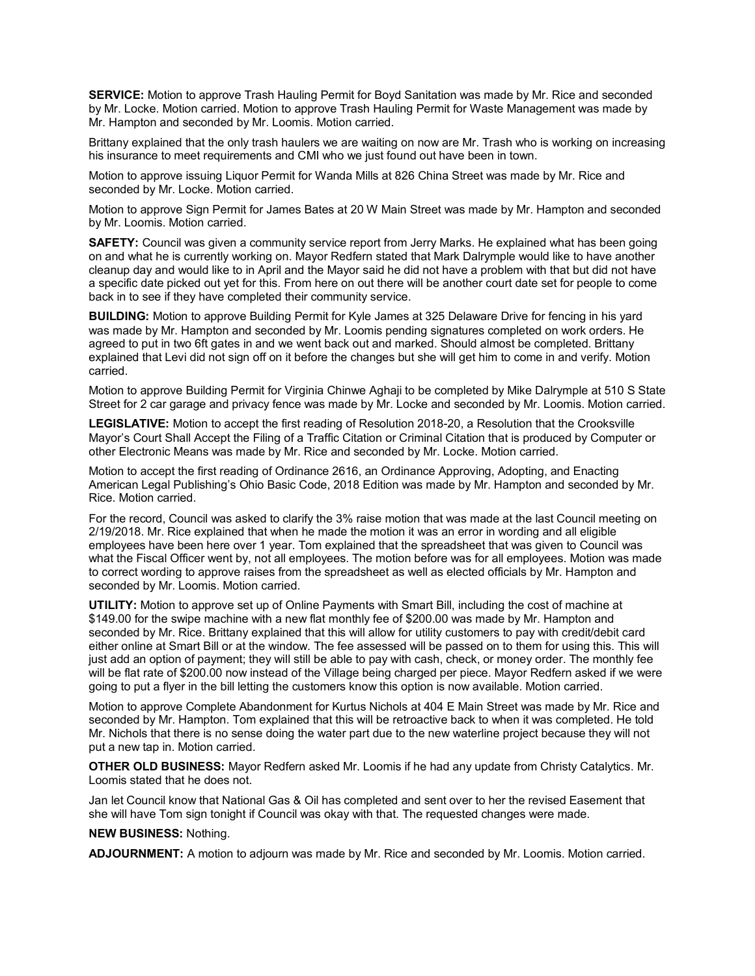**SERVICE:** Motion to approve Trash Hauling Permit for Boyd Sanitation was made by Mr. Rice and seconded by Mr. Locke. Motion carried. Motion to approve Trash Hauling Permit for Waste Management was made by Mr. Hampton and seconded by Mr. Loomis. Motion carried.

Brittany explained that the only trash haulers we are waiting on now are Mr. Trash who is working on increasing his insurance to meet requirements and CMI who we just found out have been in town.

Motion to approve issuing Liquor Permit for Wanda Mills at 826 China Street was made by Mr. Rice and seconded by Mr. Locke. Motion carried.

Motion to approve Sign Permit for James Bates at 20 W Main Street was made by Mr. Hampton and seconded by Mr. Loomis. Motion carried.

**SAFETY:** Council was given a community service report from Jerry Marks. He explained what has been going on and what he is currently working on. Mayor Redfern stated that Mark Dalrymple would like to have another cleanup day and would like to in April and the Mayor said he did not have a problem with that but did not have a specific date picked out yet for this. From here on out there will be another court date set for people to come back in to see if they have completed their community service.

**BUILDING:** Motion to approve Building Permit for Kyle James at 325 Delaware Drive for fencing in his yard was made by Mr. Hampton and seconded by Mr. Loomis pending signatures completed on work orders. He agreed to put in two 6ft gates in and we went back out and marked. Should almost be completed. Brittany explained that Levi did not sign off on it before the changes but she will get him to come in and verify. Motion carried.

Motion to approve Building Permit for Virginia Chinwe Aghaji to be completed by Mike Dalrymple at 510 S State Street for 2 car garage and privacy fence was made by Mr. Locke and seconded by Mr. Loomis. Motion carried.

**LEGISLATIVE:** Motion to accept the first reading of Resolution 2018-20, a Resolution that the Crooksville Mayor's Court Shall Accept the Filing of a Traffic Citation or Criminal Citation that is produced by Computer or other Electronic Means was made by Mr. Rice and seconded by Mr. Locke. Motion carried.

Motion to accept the first reading of Ordinance 2616, an Ordinance Approving, Adopting, and Enacting American Legal Publishing's Ohio Basic Code, 2018 Edition was made by Mr. Hampton and seconded by Mr. Rice. Motion carried.

For the record, Council was asked to clarify the 3% raise motion that was made at the last Council meeting on 2/19/2018. Mr. Rice explained that when he made the motion it was an error in wording and all eligible employees have been here over 1 year. Tom explained that the spreadsheet that was given to Council was what the Fiscal Officer went by, not all employees. The motion before was for all employees. Motion was made to correct wording to approve raises from the spreadsheet as well as elected officials by Mr. Hampton and seconded by Mr. Loomis. Motion carried.

**UTILITY:** Motion to approve set up of Online Payments with Smart Bill, including the cost of machine at \$149.00 for the swipe machine with a new flat monthly fee of \$200.00 was made by Mr. Hampton and seconded by Mr. Rice. Brittany explained that this will allow for utility customers to pay with credit/debit card either online at Smart Bill or at the window. The fee assessed will be passed on to them for using this. This will just add an option of payment; they will still be able to pay with cash, check, or money order. The monthly fee will be flat rate of \$200.00 now instead of the Village being charged per piece. Mayor Redfern asked if we were going to put a flyer in the bill letting the customers know this option is now available. Motion carried.

Motion to approve Complete Abandonment for Kurtus Nichols at 404 E Main Street was made by Mr. Rice and seconded by Mr. Hampton. Tom explained that this will be retroactive back to when it was completed. He told Mr. Nichols that there is no sense doing the water part due to the new waterline project because they will not put a new tap in. Motion carried.

**OTHER OLD BUSINESS:** Mayor Redfern asked Mr. Loomis if he had any update from Christy Catalytics. Mr. Loomis stated that he does not.

Jan let Council know that National Gas & Oil has completed and sent over to her the revised Easement that she will have Tom sign tonight if Council was okay with that. The requested changes were made.

## **NEW BUSINESS:** Nothing.

**ADJOURNMENT:** A motion to adjourn was made by Mr. Rice and seconded by Mr. Loomis. Motion carried.